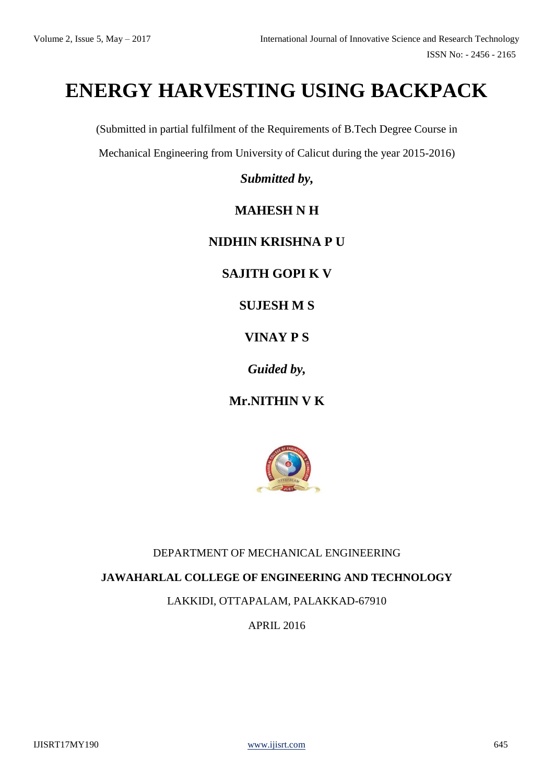# **ENERGY HARVESTING USING BACKPACK**

(Submitted in partial fulfilment of the Requirements of B.Tech Degree Course in

Mechanical Engineering from University of Calicut during the year 2015-2016)

*Submitted by,*

### **MAHESH N H**

#### **NIDHIN KRISHNA P U**

**SAJITH GOPI K V** 

**SUJESH M S**

#### **VINAY P S**

*Guided by,*

**Mr.NITHIN V K**



#### DEPARTMENT OF MECHANICAL ENGINEERING

#### **JAWAHARLAL COLLEGE OF ENGINEERING AND TECHNOLOGY**

LAKKIDI, OTTAPALAM, PALAKKAD-67910

APRIL 2016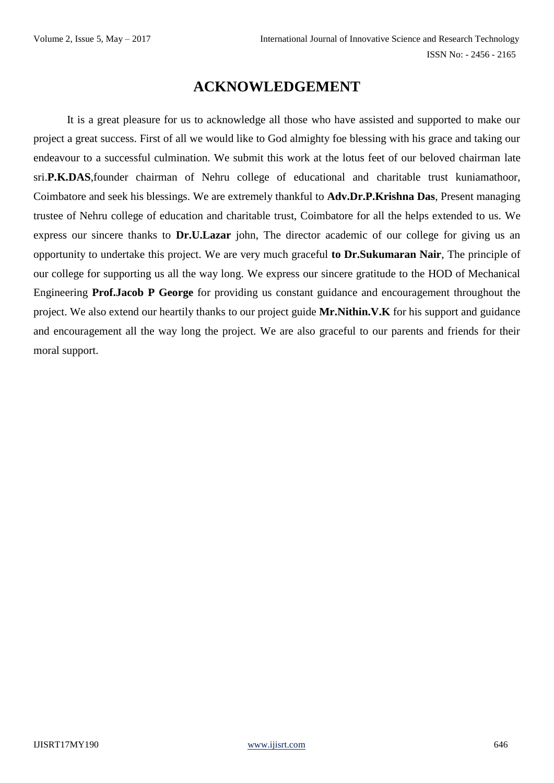# **ACKNOWLEDGEMENT**

It is a great pleasure for us to acknowledge all those who have assisted and supported to make our project a great success. First of all we would like to God almighty foe blessing with his grace and taking our endeavour to a successful culmination. We submit this work at the lotus feet of our beloved chairman late sri.**P.K.DAS**,founder chairman of Nehru college of educational and charitable trust kuniamathoor, Coimbatore and seek his blessings. We are extremely thankful to **Adv.Dr.P.Krishna Das**, Present managing trustee of Nehru college of education and charitable trust, Coimbatore for all the helps extended to us. We express our sincere thanks to **Dr.U.Lazar** john, The director academic of our college for giving us an opportunity to undertake this project. We are very much graceful **to Dr.Sukumaran Nair**, The principle of our college for supporting us all the way long. We express our sincere gratitude to the HOD of Mechanical Engineering **Prof.Jacob P George** for providing us constant guidance and encouragement throughout the project. We also extend our heartily thanks to our project guide **Mr.Nithin.V.K** for his support and guidance and encouragement all the way long the project. We are also graceful to our parents and friends for their moral support.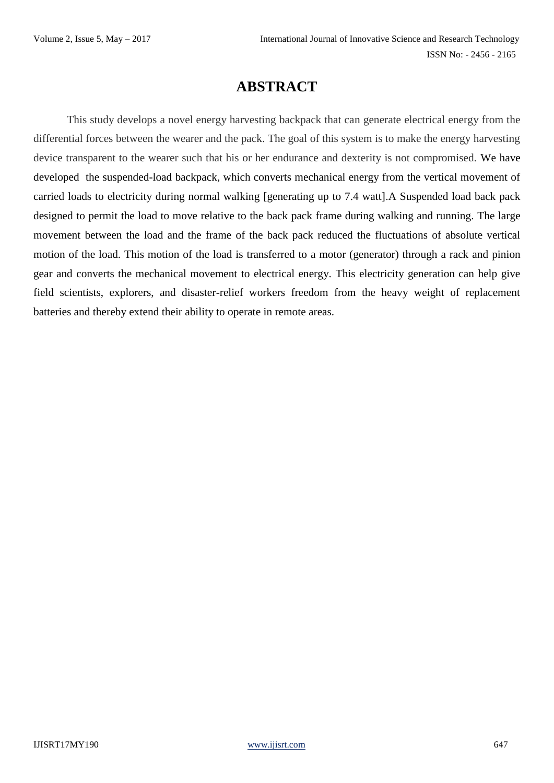# **ABSTRACT**

This study develops a novel energy harvesting backpack that can generate electrical energy from the differential forces between the wearer and the pack. The goal of this system is to make the energy harvesting device transparent to the wearer such that his or her endurance and dexterity is not compromised. We have developed the suspended-load backpack, which converts mechanical energy from the vertical movement of carried loads to electricity during normal walking [generating up to 7.4 watt].A Suspended load back pack designed to permit the load to move relative to the back pack frame during walking and running. The large movement between the load and the frame of the back pack reduced the fluctuations of absolute vertical motion of the load. This motion of the load is transferred to a motor (generator) through a rack and pinion gear and converts the mechanical movement to electrical energy. This electricity generation can help give field scientists, explorers, and disaster-relief workers freedom from the heavy weight of replacement batteries and thereby extend their ability to operate in remote areas.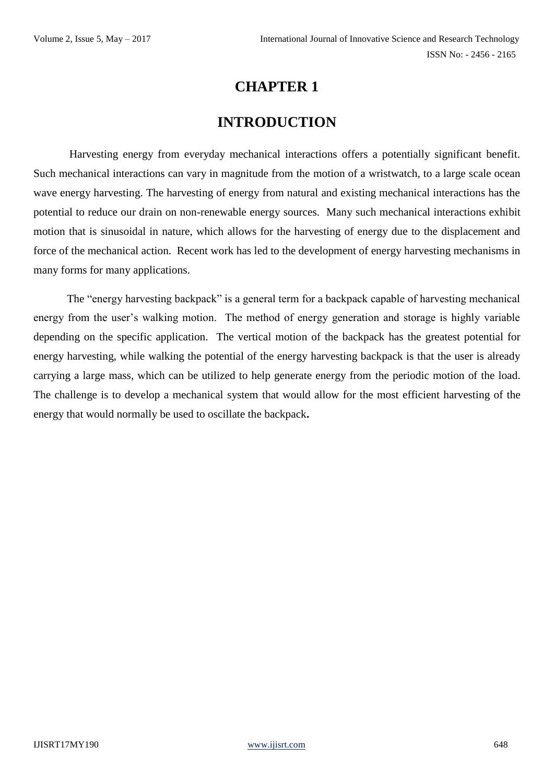### **INTRODUCTION**

Harvesting energy from everyday mechanical interactions offers a potentially significant benefit. Such mechanical interactions can vary in magnitude from the motion of a wristwatch, to a large scale ocean wave energy harvesting. The harvesting of energy from natural and existing mechanical interactions has the potential to reduce our drain on non-renewable energy sources. Many such mechanical interactions exhibit motion that is sinusoidal in nature, which allows for the harvesting of energy due to the displacement and force of the mechanical action. Recent work has led to the development of energy harvesting mechanisms in many forms for many applications.

The "energy harvesting backpack" is a general term for a backpack capable of harvesting mechanical energy from the user's walking motion. The method of energy generation and storage is highly variable depending on the specific application. The vertical motion of the backpack has the greatest potential for energy harvesting, while walking the potential of the energy harvesting backpack is that the user is already carrying a large mass, which can be utilized to help generate energy from the periodic motion of the load. The challenge is to develop a mechanical system that would allow for the most efficient harvesting of the energy that would normally be used to oscillate the backpack**.**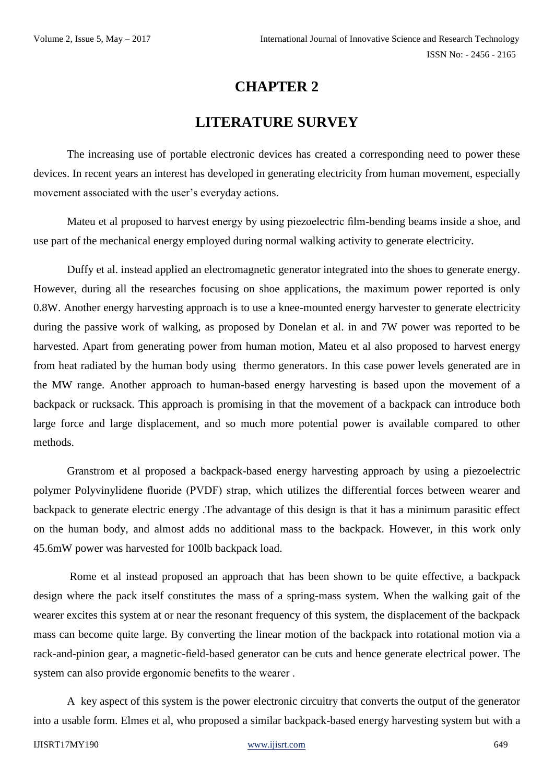# **LITERATURE SURVEY**

The increasing use of portable electronic devices has created a corresponding need to power these devices. In recent years an interest has developed in generating electricity from human movement, especially movement associated with the user's everyday actions.

Mateu et al proposed to harvest energy by using piezoelectric film-bending beams inside a shoe, and use part of the mechanical energy employed during normal walking activity to generate electricity.

Duffy et al. instead applied an electromagnetic generator integrated into the shoes to generate energy. However, during all the researches focusing on shoe applications, the maximum power reported is only 0.8W. Another energy harvesting approach is to use a knee-mounted energy harvester to generate electricity during the passive work of walking, as proposed by Donelan et al. in and 7W power was reported to be harvested. Apart from generating power from human motion, Mateu et al also proposed to harvest energy from heat radiated by the human body using thermo generators. In this case power levels generated are in the MW range. Another approach to human-based energy harvesting is based upon the movement of a backpack or rucksack. This approach is promising in that the movement of a backpack can introduce both large force and large displacement, and so much more potential power is available compared to other methods.

Granstrom et al proposed a backpack-based energy harvesting approach by using a piezoelectric polymer Polyvinylidene fluoride (PVDF) strap, which utilizes the differential forces between wearer and backpack to generate electric energy .The advantage of this design is that it has a minimum parasitic effect on the human body, and almost adds no additional mass to the backpack. However, in this work only 45.6mW power was harvested for 100lb backpack load.

Rome et al instead proposed an approach that has been shown to be quite effective, a backpack design where the pack itself constitutes the mass of a spring-mass system. When the walking gait of the wearer excites this system at or near the resonant frequency of this system, the displacement of the backpack mass can become quite large. By converting the linear motion of the backpack into rotational motion via a rack-and-pinion gear, a magnetic-field-based generator can be cuts and hence generate electrical power. The system can also provide ergonomic benefits to the wearer .

A key aspect of this system is the power electronic circuitry that converts the output of the generator into a usable form. Elmes et al, who proposed a similar backpack-based energy harvesting system but with a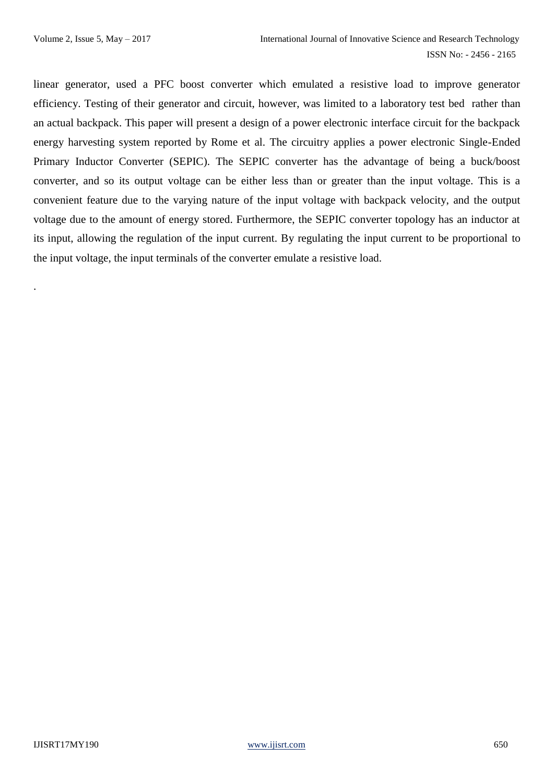.

linear generator, used a PFC boost converter which emulated a resistive load to improve generator efficiency. Testing of their generator and circuit, however, was limited to a laboratory test bed rather than an actual backpack. This paper will present a design of a power electronic interface circuit for the backpack energy harvesting system reported by Rome et al. The circuitry applies a power electronic Single-Ended Primary Inductor Converter (SEPIC). The SEPIC converter has the advantage of being a buck/boost converter, and so its output voltage can be either less than or greater than the input voltage. This is a convenient feature due to the varying nature of the input voltage with backpack velocity, and the output voltage due to the amount of energy stored. Furthermore, the SEPIC converter topology has an inductor at its input, allowing the regulation of the input current. By regulating the input current to be proportional to the input voltage, the input terminals of the converter emulate a resistive load.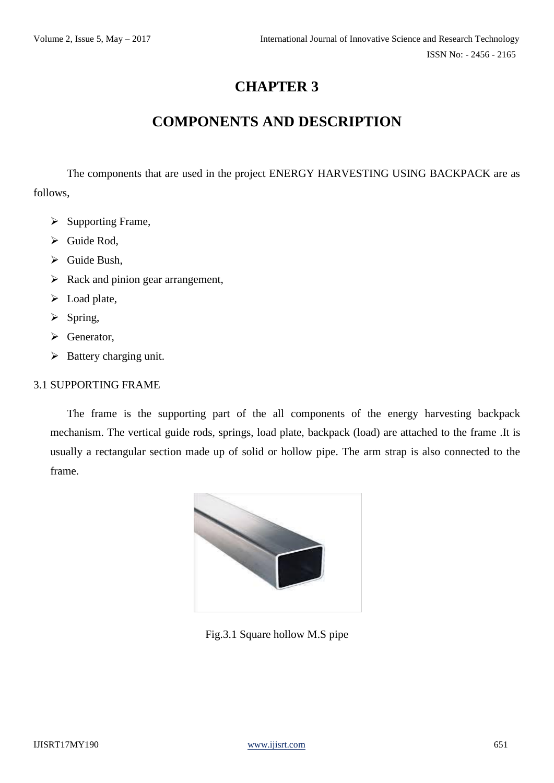# **COMPONENTS AND DESCRIPTION**

The components that are used in the project ENERGY HARVESTING USING BACKPACK are as follows,

- $\triangleright$  Supporting Frame,
- $\triangleright$  Guide Rod,
- $\triangleright$  Guide Bush,
- $\triangleright$  Rack and pinion gear arrangement,
- > Load plate,
- $\triangleright$  Spring,
- $\triangleright$  Generator,
- $\triangleright$  Battery charging unit.

#### 3.1 SUPPORTING FRAME

The frame is the supporting part of the all components of the energy harvesting backpack mechanism. The vertical guide rods, springs, load plate, backpack (load) are attached to the frame .It is usually a rectangular section made up of solid or hollow pipe. The arm strap is also connected to the frame.



Fig.3.1 Square hollow M.S pipe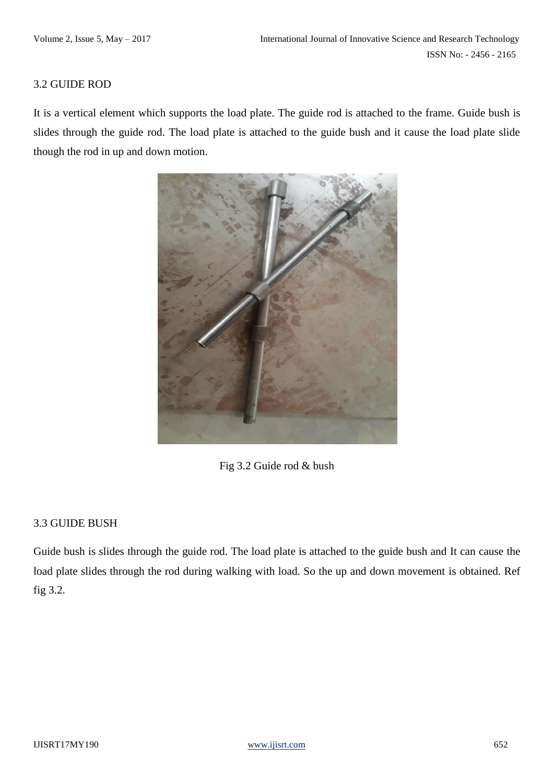#### 3.2 GUIDE ROD

It is a vertical element which supports the load plate. The guide rod is attached to the frame. Guide bush is slides through the guide rod. The load plate is attached to the guide bush and it cause the load plate slide though the rod in up and down motion.



Fig 3.2 Guide rod & bush

#### 3.3 GUIDE BUSH

Guide bush is slides through the guide rod. The load plate is attached to the guide bush and It can cause the load plate slides through the rod during walking with load. So the up and down movement is obtained. Ref fig 3.2.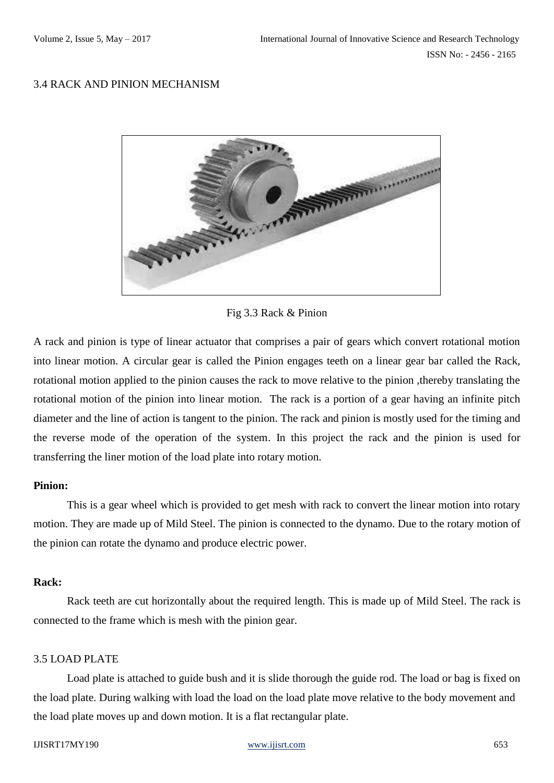#### 3.4 RACK AND PINION MECHANISM



Fig 3.3 Rack & Pinion

A rack and pinion is type of linear actuator that comprises a pair of gears which convert rotational motion into linear motion. A circular gear is called the Pinion engages teeth on a linear gear bar called the Rack, rotational motion applied to the pinion causes the rack to move relative to the pinion ,thereby translating the rotational motion of the pinion into linear motion. The rack is a portion of a gear having an infinite pitch diameter and the line of action is tangent to the pinion. The rack and pinion is mostly used for the timing and the reverse mode of the operation of the system. In this project the rack and the pinion is used for transferring the liner motion of the load plate into rotary motion.

#### **Pinion:**

This is a gear wheel which is provided to get mesh with rack to convert the linear motion into rotary motion. They are made up of Mild Steel. The pinion is connected to the dynamo. Due to the rotary motion of the pinion can rotate the dynamo and produce electric power.

#### **Rack:**

Rack teeth are cut horizontally about the required length. This is made up of Mild Steel. The rack is connected to the frame which is mesh with the pinion gear.

#### 3.5 LOAD PLATE

Load plate is attached to guide bush and it is slide thorough the guide rod. The load or bag is fixed on the load plate. During walking with load the load on the load plate move relative to the body movement and the load plate moves up and down motion. It is a flat rectangular plate.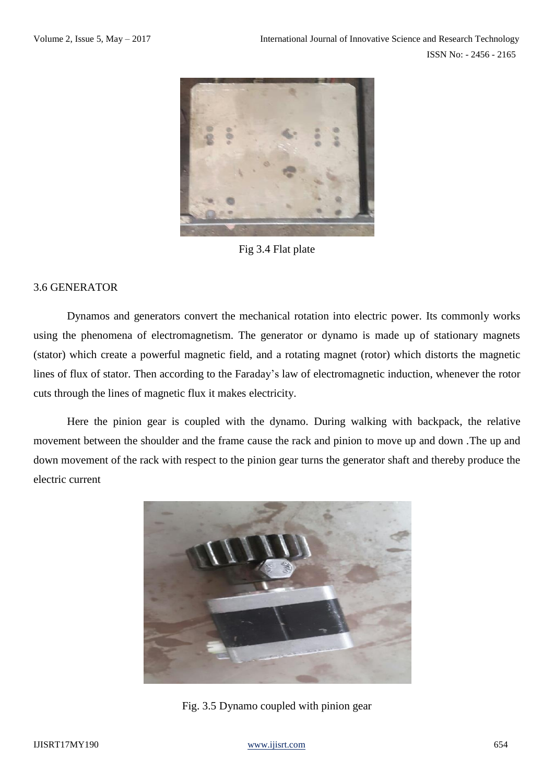

Fig 3.4 Flat plate

#### 3.6 GENERATOR

Dynamos and generators convert the mechanical rotation into electric power. Its commonly works using the phenomena of electromagnetism. The generator or dynamo is made up of stationary magnets (stator) which create a powerful magnetic field, and a rotating magnet (rotor) which distorts the magnetic lines of flux of stator. Then according to the Faraday's law of electromagnetic induction, whenever the rotor cuts through the lines of magnetic flux it makes electricity.

Here the pinion gear is coupled with the dynamo. During walking with backpack, the relative movement between the shoulder and the frame cause the rack and pinion to move up and down .The up and down movement of the rack with respect to the pinion gear turns the generator shaft and thereby produce the electric current



Fig. 3.5 Dynamo coupled with pinion gear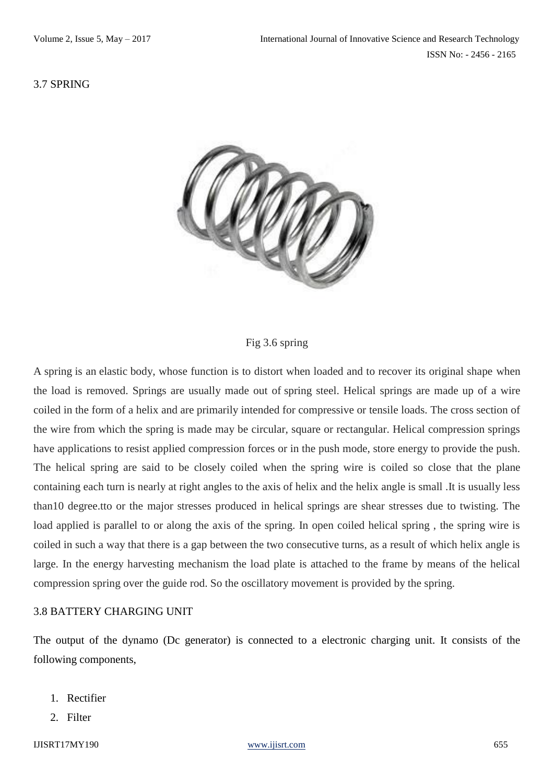#### 3.7 SPRING



#### Fig 3.6 spring

A spring is an elastic body, whose function is to distort when loaded and to recover its original shape when the load is removed. Springs are usually made out of spring steel. Helical springs are made up of a wire coiled in the form of a helix and are primarily intended for compressive or tensile loads. The cross section of the wire from which the spring is made may be circular, square or rectangular. Helical compression springs have applications to resist applied compression forces or in the push mode, store energy to provide the push. The helical spring are said to be closely coiled when the spring wire is coiled so close that the plane containing each turn is nearly at right angles to the axis of helix and the helix angle is small .It is usually less than10 degree.tto or the major stresses produced in helical springs are shear stresses due to twisting. The load applied is parallel to or along the axis of the spring. In open coiled helical spring , the spring wire is coiled in such a way that there is a gap between the two consecutive turns, as a result of which helix angle is large. In the energy harvesting mechanism the load plate is attached to the frame by means of the helical compression spring over the guide rod. So the oscillatory movement is provided by the spring.

#### 3.8 BATTERY CHARGING UNIT

The output of the dynamo (Dc generator) is connected to a electronic charging unit. It consists of the following components,

- 1. Rectifier
- 2. Filter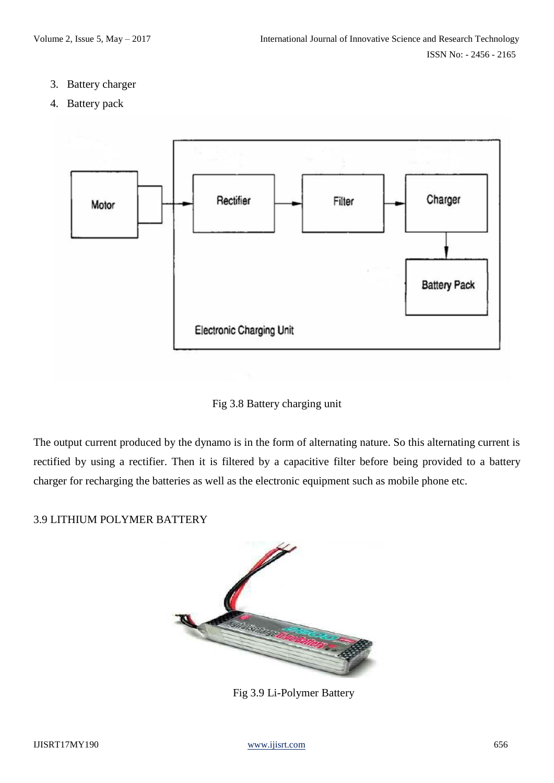- 3. Battery charger
- 4. Battery pack



Fig 3.8 Battery charging unit

The output current produced by the dynamo is in the form of alternating nature. So this alternating current is rectified by using a rectifier. Then it is filtered by a capacitive filter before being provided to a battery charger for recharging the batteries as well as the electronic equipment such as mobile phone etc.

#### 3.9 LITHIUM POLYMER BATTERY



Fig 3.9 Li-Polymer Battery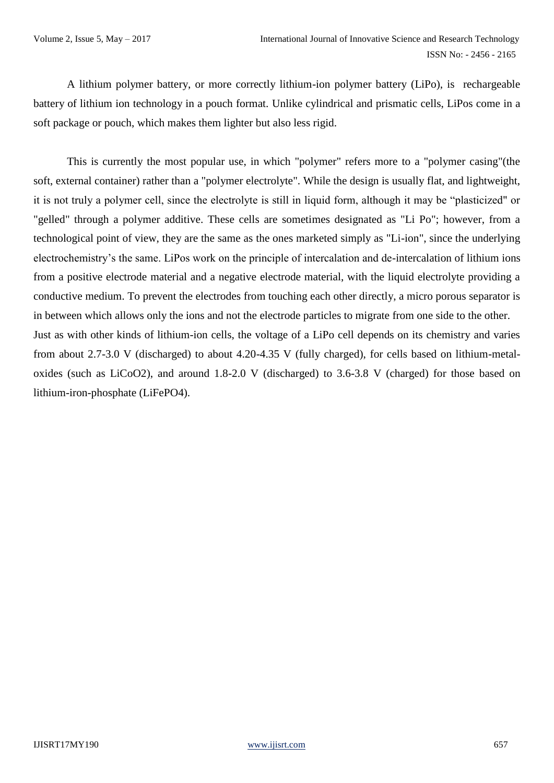A lithium polymer battery, or more correctly lithium-ion polymer battery (LiPo), is rechargeable battery of lithium ion technology in a pouch format. Unlike cylindrical and prismatic cells, LiPos come in a soft package or pouch, which makes them lighter but also less rigid.

This is currently the most popular use, in which "polymer" refers more to a "polymer casing"(the soft, external container) rather than a "polymer electrolyte". While the design is usually flat, and lightweight, it is not truly a polymer cell, since the electrolyte is still in liquid form, although it may be "plasticized" or "gelled" through a polymer additive. These cells are sometimes designated as "Li Po"; however, from a technological point of view, they are the same as the ones marketed simply as "Li-ion", since the underlying electrochemistry's the same. LiPos work on the principle of intercalation and de-intercalation of lithium ions from a positive electrode material and a negative electrode material, with the liquid electrolyte providing a conductive medium. To prevent the electrodes from touching each other directly, a micro porous separator is in between which allows only the ions and not the electrode particles to migrate from one side to the other. Just as with other kinds of lithium-ion cells, the voltage of a LiPo cell depends on its chemistry and varies from about 2.7-3.0 V (discharged) to about 4.20-4.35 V (fully charged), for cells based on lithium-metaloxides (such as LiCoO2), and around 1.8-2.0 V (discharged) to 3.6-3.8 V (charged) for those based on lithium-iron-phosphate (LiFePO4).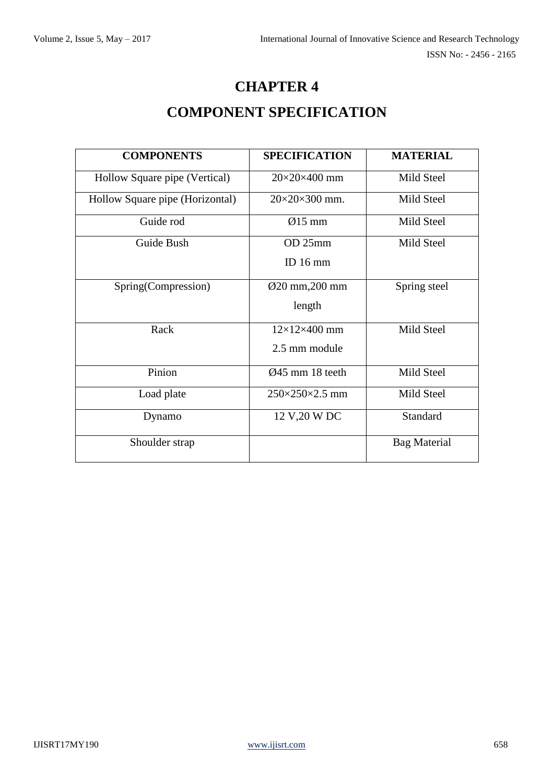# **CHAPTER 4 COMPONENT SPECIFICATION**

| <b>COMPONENTS</b>               | <b>SPECIFICATION</b>         | <b>MATERIAL</b>     |
|---------------------------------|------------------------------|---------------------|
| Hollow Square pipe (Vertical)   | $20\times20\times400$ mm     | Mild Steel          |
| Hollow Square pipe (Horizontal) | $20\times20\times300$ mm.    | Mild Steel          |
| Guide rod                       | $\varnothing$ 15 mm          | Mild Steel          |
| Guide Bush                      | OD 25mm                      | Mild Steel          |
|                                 | ID $16 \text{ mm}$           |                     |
| Spring(Compression)             | Ø20 mm, 200 mm               | Spring steel        |
|                                 | length                       |                     |
| Rack                            | $12\times12\times400$ mm     | Mild Steel          |
|                                 | 2.5 mm module                |                     |
| Pinion                          | $\varnothing$ 45 mm 18 teeth | Mild Steel          |
| Load plate                      | $250\times250\times2.5$ mm   | Mild Steel          |
| Dynamo                          | 12 V, 20 W DC                | Standard            |
| Shoulder strap                  |                              | <b>Bag Material</b> |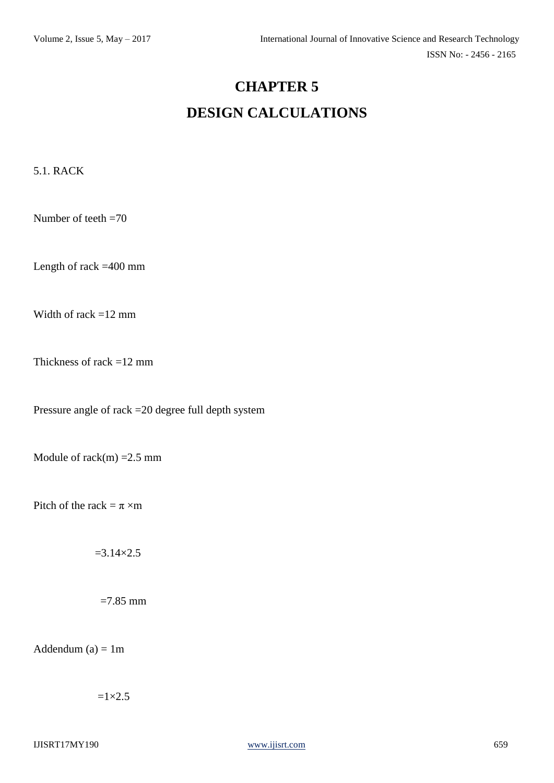# **CHAPTER 5 DESIGN CALCULATIONS**

5.1. RACK

Number of teeth =70

Length of rack =400 mm

Width of rack =12 mm

Thickness of rack =12 mm

Pressure angle of rack =20 degree full depth system

Module of rack $(m)$  = 2.5 mm

Pitch of the rack =  $\pi$  ×m

 $=3.14\times2.5$ 

 $=7.85$  mm

Addendum  $(a) = 1m$ 

 $=1\times2.5$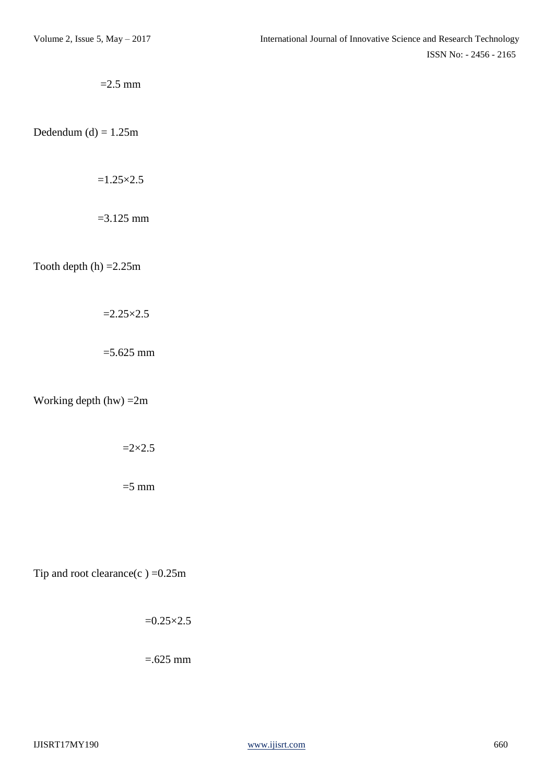$=2.5$  mm

Dedendum (d)  $= 1.25$ m

 $=1.25\times2.5$ 

 $=$ 3.125 mm

Tooth depth  $(h) = 2.25m$ 

 $=2.25\times2.5$ 

 $=$  5.625 mm

Working depth (hw) =2m

 $=2\times2.5$ 

 $=$ 5 mm

Tip and root clearance(c) = $0.25$ m

 $=0.25\times2.5$ 

 $=625$  mm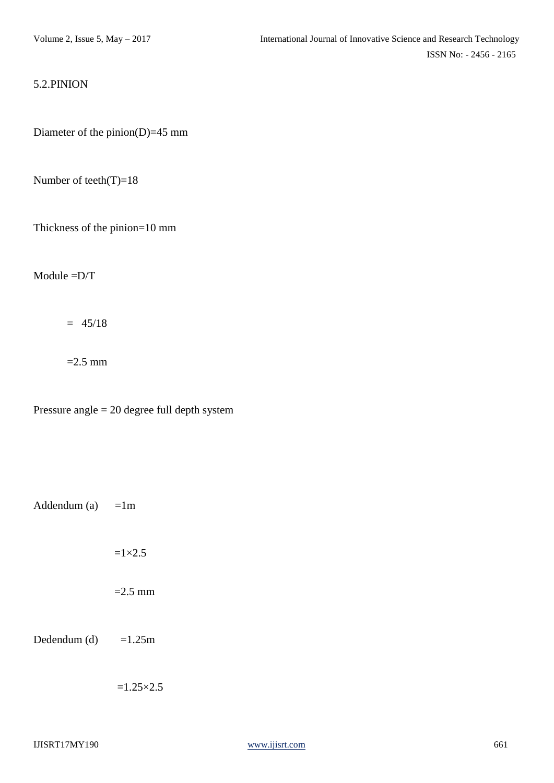#### 5.2.PINION

Diameter of the pinion(D)=45 mm

Number of teeth(T)=18

Thickness of the pinion=10 mm

Module =D/T

 $= 45/18$ 

 $=2.5$  mm

Pressure angle = 20 degree full depth system

Addendum (a)  $=1m$ 

 $=1\times2.5$ 

 $=2.5$  mm

Dedendum (d)  $=1.25m$ 

 $=1.25\times2.5$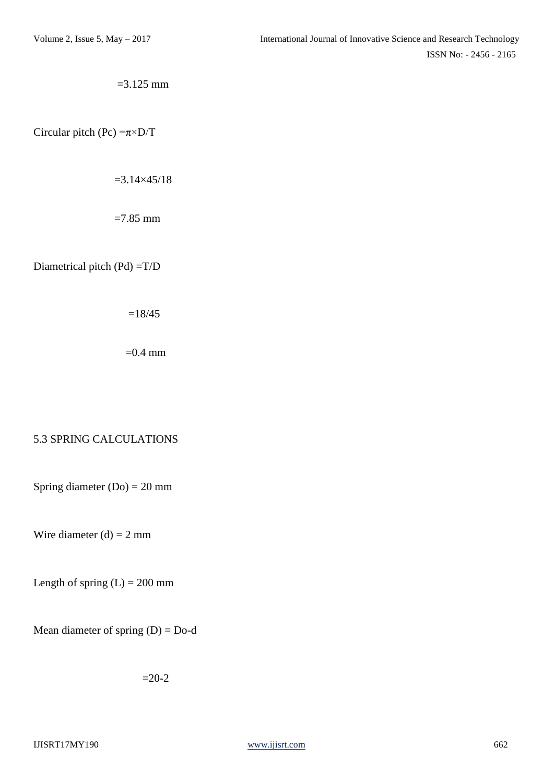$=$ 3.125 mm

Circular pitch (Pc)  $=\pi \times D/T$ 

 $=3.14\times45/18$ 

 $=7.85$  mm

Diametrical pitch (Pd) =T/D

 $=18/45$ 

 $=0.4$  mm

#### 5.3 SPRING CALCULATIONS

Spring diameter  $(Do) = 20$  mm

Wire diameter  $(d) = 2$  mm

Length of spring  $(L) = 200$  mm

Mean diameter of spring  $(D) = Do-d$ 

 $=20-2$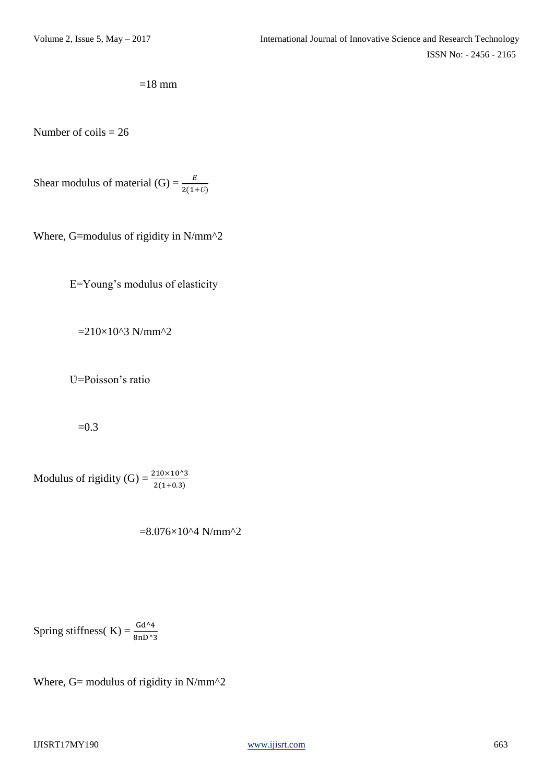$$
=18 \text{ mm}
$$

Number of  $coils = 26$ 

Shear modulus of material (G) =  $\frac{E}{2(1+U)}$ 

Where, G=modulus of rigidity in N/mm^2

E=Young's modulus of elasticity

 $=210\times10^{2}3$  N/mm<sup>2</sup>2

U=Poisson's ratio

 $=0.3$ 

Modulus of rigidity (G) =  $\frac{210 \times 10^{33}}{2(1+0.3)}$ 

 $=8.076\times10^{4}$  N/mm<sup>^2</sup>

Spring stiffness( K) =  $\frac{Gd^{4}4}{8nD^{4}3}$ 

Where, G= modulus of rigidity in  $N/mm^2$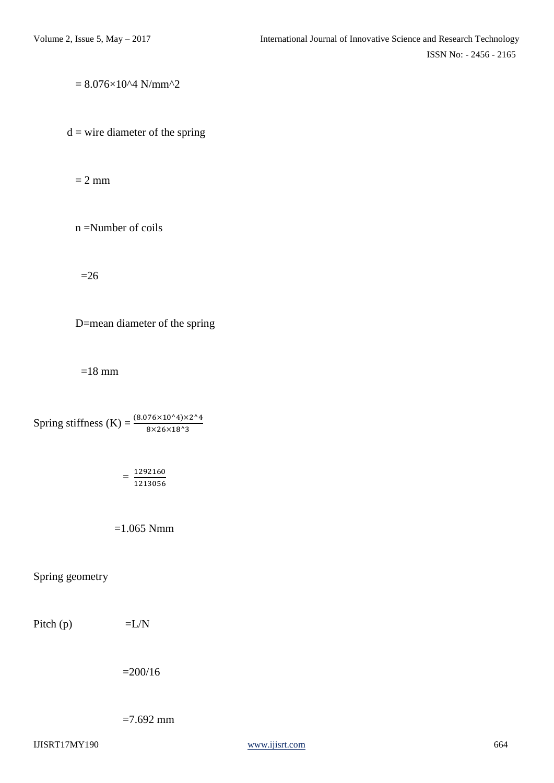$= 8.076 \times 10^{4}$  N/mm<sup>^2</sup>

 $d =$  wire diameter of the spring

 $= 2$  mm

n =Number of coils

 $=26$ 

D=mean diameter of the spring

 $=18$  mm

Spring stiffness (K) =  $\frac{(8.076 \times 10^{4}) \times 2^{4}}{8 \times 26 \times 18^{4}3}$ 

$$
=\frac{1292160}{1213056}
$$

 $=1.065$  Nmm

Spring geometry

Pitch (p)  $=L/N$ 

 $=200/16$ 

 $=7.692$  mm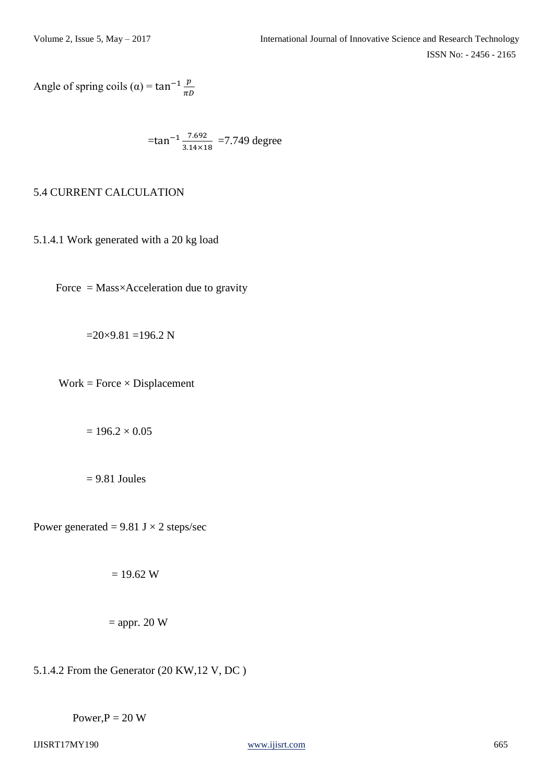Angle of spring coils ( $\alpha$ ) = tan<sup>-1</sup>  $\frac{p}{\pi D}$ 

$$
=\tan^{-1}\frac{7.692}{3.14\times18}
$$
 = 7.749 degree

#### 5.4 CURRENT CALCULATION

5.1.4.1 Work generated with a 20 kg load

Force =  $Mass \times Acceleration$  due to gravity

 $=20\times9.81 = 196.2$  N

 $Work = Force \times Displacement$ 

 $= 196.2 \times 0.05$ 

 $= 9.81$  Joules

Power generated =  $9.81$  J  $\times$  2 steps/sec

 $= 19.62 W$ 

$$
= \text{appr. } 20 \text{ W}
$$

5.1.4.2 From the Generator (20 KW,12 V, DC )

Power, $P = 20 W$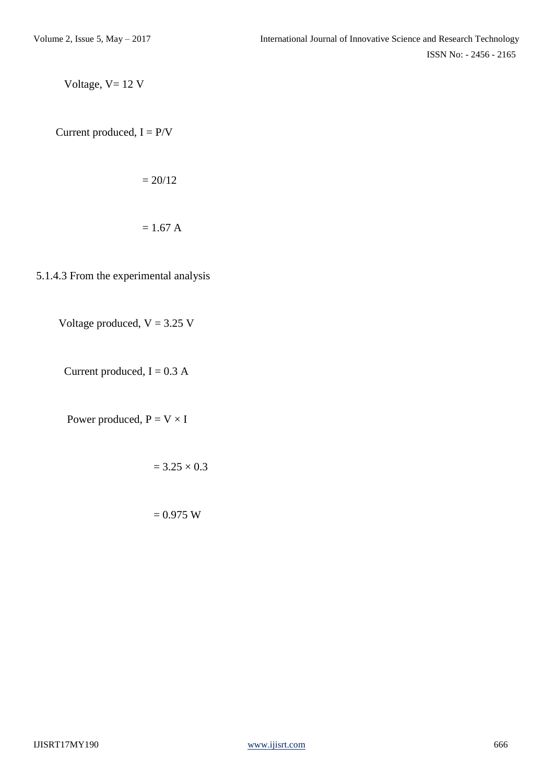Voltage,  $V = 12$  V

Current produced,  $I = P/V$ 

$$
=20/12
$$

$$
= 1.67 \text{ A}
$$

5.1.4.3 From the experimental analysis

Voltage produced,  $V = 3.25$  V

Current produced,  $I = 0.3 A$ 

Power produced,  $P = V \times I$ 

$$
= 3.25 \times 0.3
$$

 $= 0.975 W$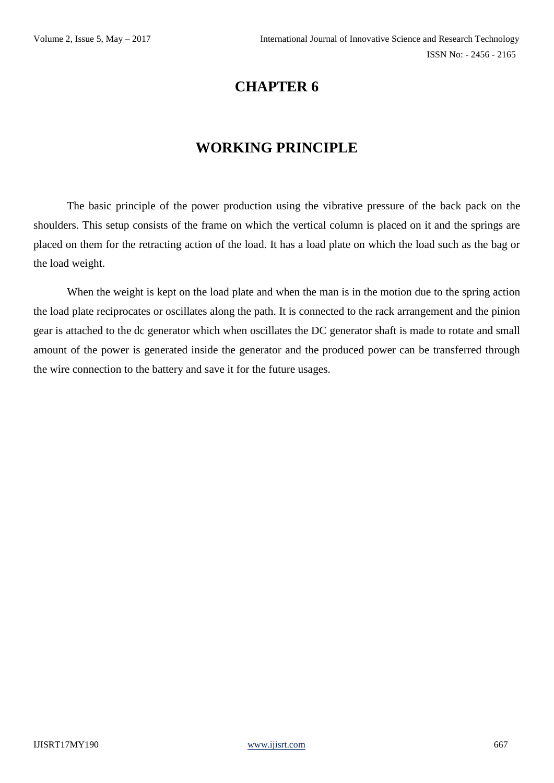# **WORKING PRINCIPLE**

The basic principle of the power production using the vibrative pressure of the back pack on the shoulders. This setup consists of the frame on which the vertical column is placed on it and the springs are placed on them for the retracting action of the load. It has a load plate on which the load such as the bag or the load weight.

When the weight is kept on the load plate and when the man is in the motion due to the spring action the load plate reciprocates or oscillates along the path. It is connected to the rack arrangement and the pinion gear is attached to the dc generator which when oscillates the DC generator shaft is made to rotate and small amount of the power is generated inside the generator and the produced power can be transferred through the wire connection to the battery and save it for the future usages.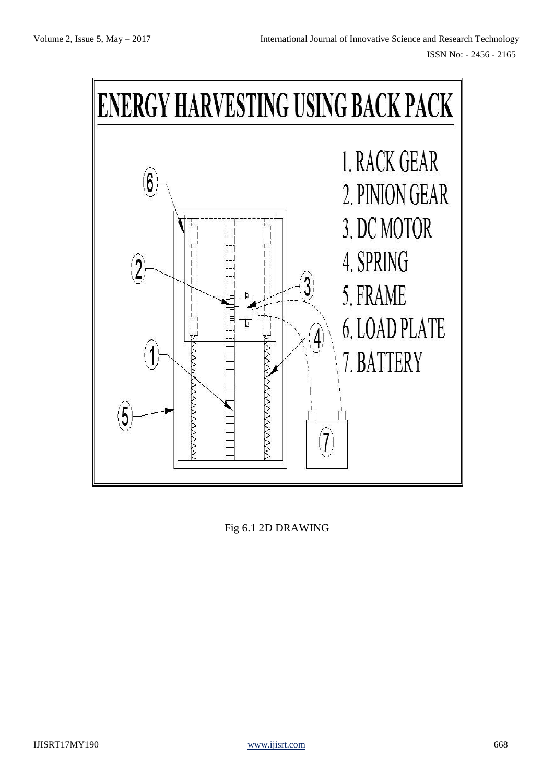

Fig 6.1 2D DRAWING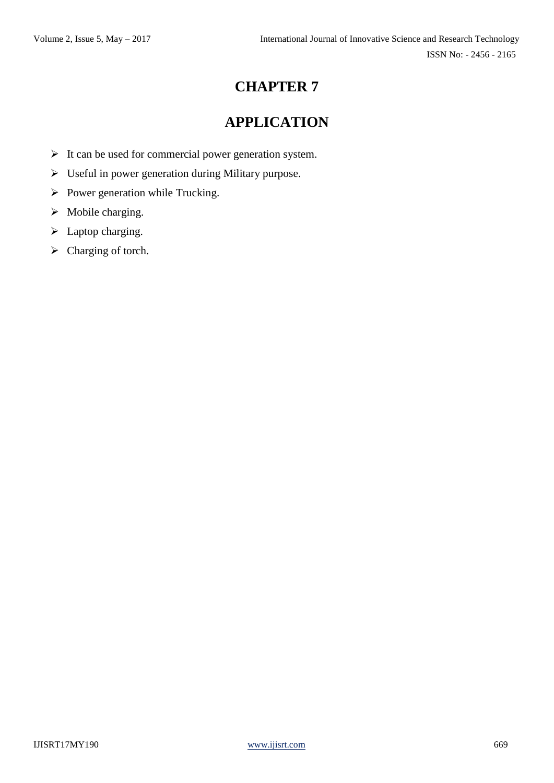# **APPLICATION**

- $\triangleright$  It can be used for commercial power generation system.
- Useful in power generation during Military purpose.
- $\triangleright$  Power generation while Trucking.
- $\triangleright$  Mobile charging.
- $\blacktriangleright$  Laptop charging.
- $\triangleright$  Charging of torch.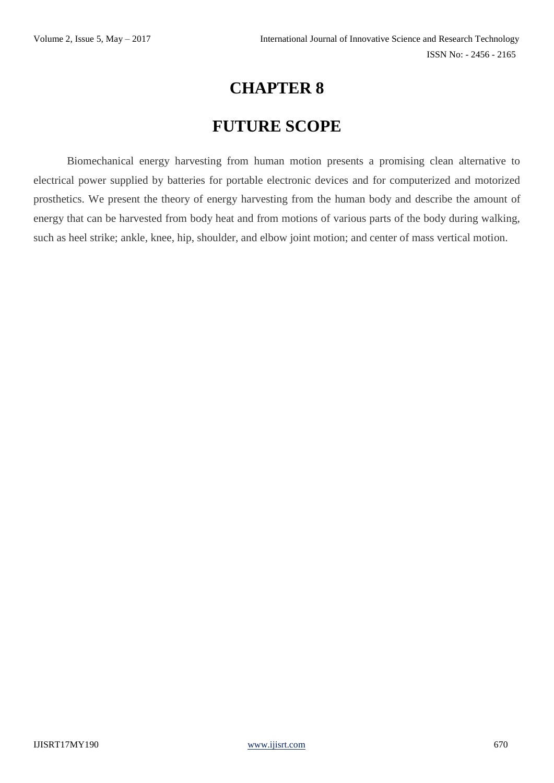# **FUTURE SCOPE**

Biomechanical energy harvesting from human motion presents a promising clean alternative to electrical power supplied by batteries for portable electronic devices and for computerized and motorized prosthetics. We present the theory of energy harvesting from the human body and describe the amount of energy that can be harvested from body heat and from motions of various parts of the body during walking, such as heel strike; ankle, knee, hip, shoulder, and elbow joint motion; and center of mass vertical motion.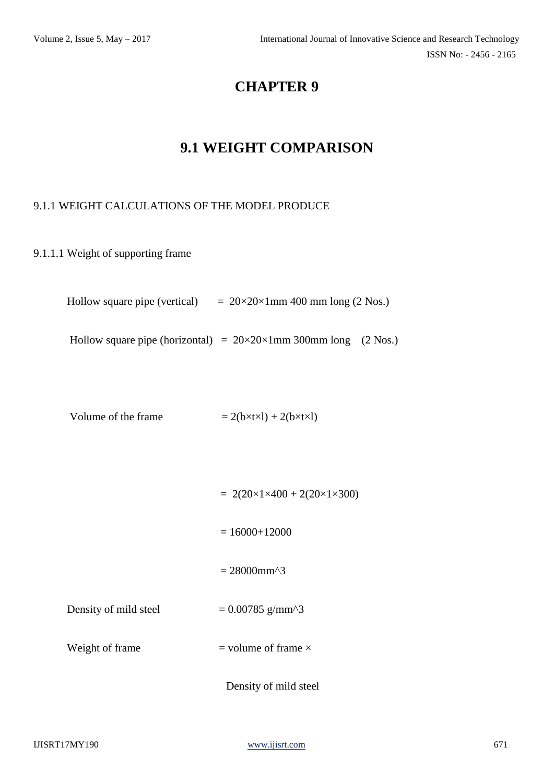# **9.1 WEIGHT COMPARISON**

#### 9.1.1 WEIGHT CALCULATIONS OF THE MODEL PRODUCE

9.1.1.1 Weight of supporting frame

Hollow square pipe (vertical)  $= 20 \times 20 \times 1 \text{mm}$  400 mm long (2 Nos.)

Hollow square pipe (horizontal) =  $20 \times 20 \times 1$  mm 300 mm long (2 Nos.)

Volume of the frame  $= 2(b \times t \times 1) + 2(b \times t \times 1)$ 

 $= 2(20 \times 1 \times 400 + 2(20 \times 1 \times 300))$  $= 16000 + 12000$  $= 28000$ mm^3 Density of mild steel  $= 0.00785$  g/mm<sup> $\text{ }^{\circ}$ </sup> Weight of frame  $=$  volume of frame  $\times$ Density of mild steel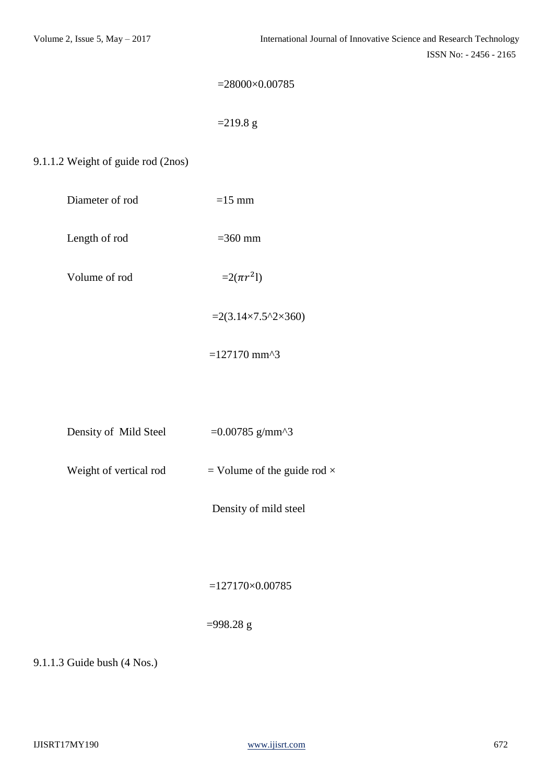ISSN No: - 2456 - 2165

```
=28000\times0.00785
```
 $=$ 219.8 g

#### 9.1.1.2 Weight of guide rod (2nos)

| Diameter of rod | $=15$ mm |
|-----------------|----------|
|-----------------|----------|

Length of rod  $=360$  mm

Volume of rod

 $^{2}$ l)

 $=2(3.14\times7.5^{\circ}2\times360)$ 

 $=127170$  mm^3

| Density of Mild Steel | $=0.00785$ g/mm^3 |
|-----------------------|-------------------|
|                       |                   |

Weight of vertical rod  $=$  Volume of the guide rod  $\times$ 

Density of mild steel

=127170×0.00785

#### =998.28 g

9.1.1.3 Guide bush (4 Nos.)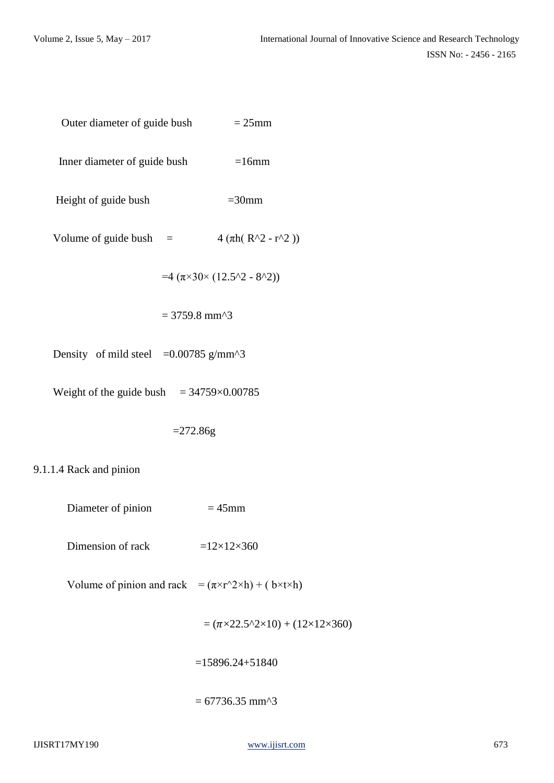$$
Outer diameter of guide bush = 25mm
$$

Inner diameter of guide bush =16mm

Height of guide bush  $=30$ mm

Volume of guide bush =  $4 (\pi h ( R^2 - r^2) )$ 

$$
=4\;(\pi{\times}30{\times}\; (12.5^{\wedge}2\text{ - }8^{\wedge}2))
$$

$$
= 3759.8 \text{ mm}^3
$$

Density of mild steel  $=0.00785$  g/mm<sup> $\text{A}$ 3</sup>

Weight of the guide bush  $= 34759 \times 0.00785$ 

 $= 272.86g$ 

#### 9.1.1.4 Rack and pinion

- Diameter of pinion  $= 45$ mm
- Dimension of rack  $=12\times12\times360$
- Volume of pinion and rack =  $(\pi \times r^2 \times h) + (b \times t \times h)$

 $= (\pi \times 22.5^{\circ}2 \times 10) + (12 \times 12 \times 360)$ 

 $=15896.24 + 51840$ 

 $= 67736.35$  mm<sup> $\triangle$ 3</sup>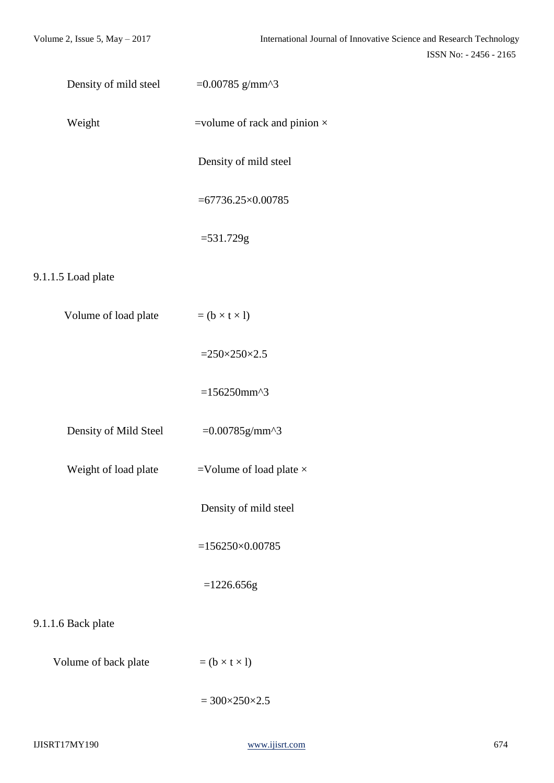| Density of mild steel | $=0.00785$ g/mm^3                   |
|-----------------------|-------------------------------------|
| Weight                | =volume of rack and pinion $\times$ |
|                       | Density of mild steel               |
|                       | $= 67736.25 \times 0.00785$         |
|                       | $= 531.729g$                        |
| 9.1.1.5 Load plate    |                                     |
| Volume of load plate  | $= (b \times t \times l)$           |
|                       | $=250\times250\times2.5$            |
|                       | $=156250$ mm^3                      |
| Density of Mild Steel | $=0.00785g/mm^{3}$                  |
| Weight of load plate  | =Volume of load plate $\times$      |
|                       | Density of mild steel               |
|                       | $=156250\times0.00785$              |
|                       | $=1226.656g$                        |
| 9.1.1.6 Back plate    |                                     |
| Volume of back plate  | $= (b \times t \times 1)$           |
|                       | $= 300 \times 250 \times 2.5$       |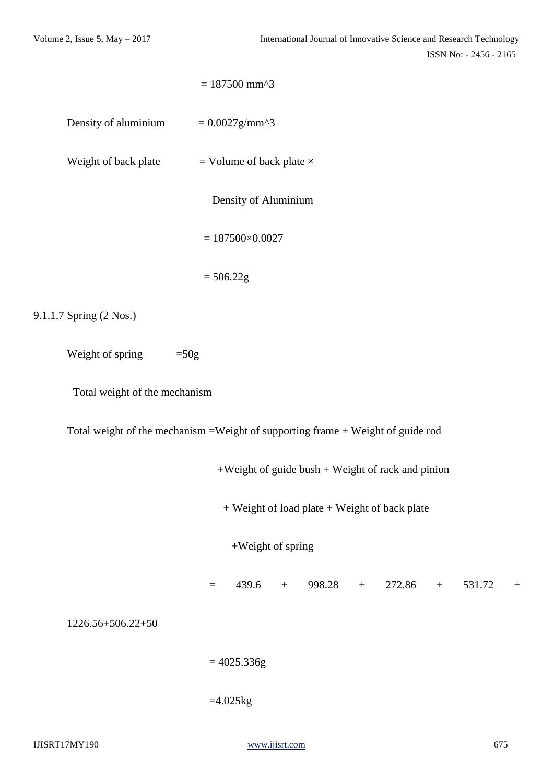|                               | $= 187500$ mm^3                                                                  |  |
|-------------------------------|----------------------------------------------------------------------------------|--|
| Density of aluminium          | $= 0.0027$ g/mm^3                                                                |  |
| Weight of back plate          | = Volume of back plate $\times$                                                  |  |
|                               | Density of Aluminium                                                             |  |
|                               | $= 187500 \times 0.0027$                                                         |  |
|                               | $= 506.22g$                                                                      |  |
| 9.1.1.7 Spring (2 Nos.)       |                                                                                  |  |
| Weight of spring              | $=50g$                                                                           |  |
| Total weight of the mechanism |                                                                                  |  |
|                               | Total weight of the mechanism = Weight of supporting frame + Weight of guide rod |  |
|                               | $+Weight of guide bush + Weight of rock and pinion$                              |  |
|                               | + Weight of load plate + Weight of back plate                                    |  |
|                               | +Weight of spring                                                                |  |
|                               | 439.6<br>$+$ 998.28<br>$+ 272.86$<br>531.72<br>$+$<br>$\, +$<br>$\equiv$         |  |
| 1226.56+506.22+50             |                                                                                  |  |
|                               | $= 4025.336g$                                                                    |  |
|                               | $=4.025$ kg                                                                      |  |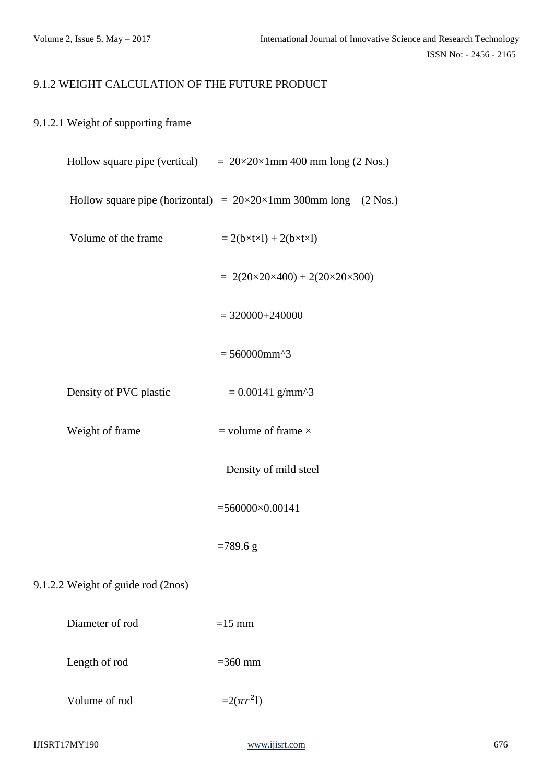#### 9.1.2 WEIGHT CALCULATION OF THE FUTURE PRODUCT

#### 9.1.2.1 Weight of supporting frame

|                                    | Hollow square pipe (vertical) $= 20 \times 20 \times 1 \text{mm}$ 400 mm long (2 Nos.) |
|------------------------------------|----------------------------------------------------------------------------------------|
|                                    | Hollow square pipe (horizontal) = $20 \times 20 \times 1$ mm 300 mm long (2 Nos.)      |
| Volume of the frame                | $= 2(b \times t \times 1) + 2(b \times t \times 1)$                                    |
|                                    | $= 2(20 \times 20 \times 400) + 2(20 \times 20 \times 300)$                            |
|                                    | $=$ 320000+240000                                                                      |
|                                    | $= 560000$ mm^3                                                                        |
| Density of PVC plastic             | $= 0.00141$ g/mm^3                                                                     |
| Weight of frame                    | $=$ volume of frame $\times$                                                           |
|                                    | Density of mild steel                                                                  |
|                                    | $=560000\times0.00141$                                                                 |
|                                    | $=789.6$ g                                                                             |
| 9.1.2.2 Weight of guide rod (2nos) |                                                                                        |
| Diameter of rod                    | $=15$ mm                                                                               |
| Length of rod                      | $=360$ mm                                                                              |
|                                    |                                                                                        |

Volume of rod

 $^{2}$ l)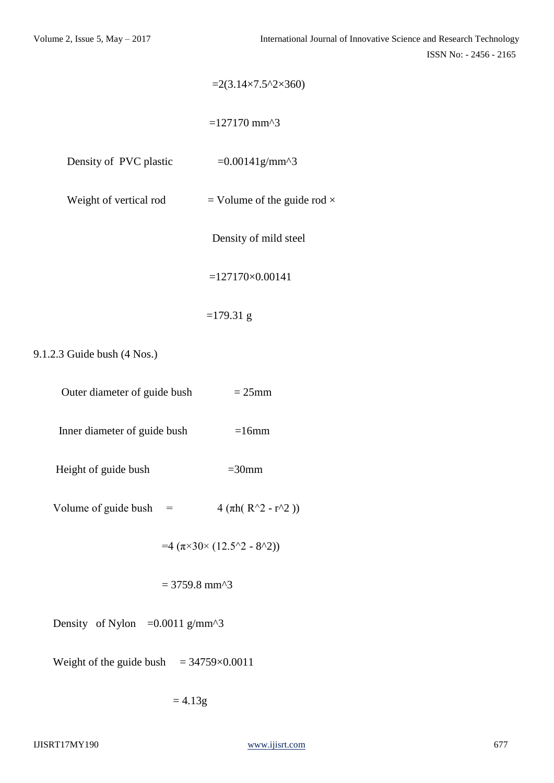|                        | $=2(3.14\times7.5^{\circ}2\times360)$           |
|------------------------|-------------------------------------------------|
|                        | $= 127170$ mm <sup><math>\lambda</math></sup> 3 |
| Density of PVC plastic | $=0.00141$ g/mm^3                               |
| Weight of vertical rod | = Volume of the guide rod $\times$              |
|                        | Density of mild steel                           |
|                        | $=127170\times0.00141$                          |
|                        | $=179.31$ g                                     |

9.1.2.3 Guide bush (4 Nos.)

| Outer diameter of guide bush | $= 25$ mm |  |
|------------------------------|-----------|--|
| Inner diameter of guide bush | $=16$ mm  |  |

- Height of guide bush =30mm
- 

Volume of guide bush =  $4 (\pi h ( R^2 - r^2) )$ 

 $=4 (\pi \times 30 \times (12.5^2 - 8^2))$ 

 $= 3759.8$  mm<sup> $\triangle$ 3</sup>

Density of Nylon  $=0.0011$  g/mm<sup> $\text{A}$ 3</sup>

Weight of the guide bush  $= 34759 \times 0.0011$ 

 $= 4.13g$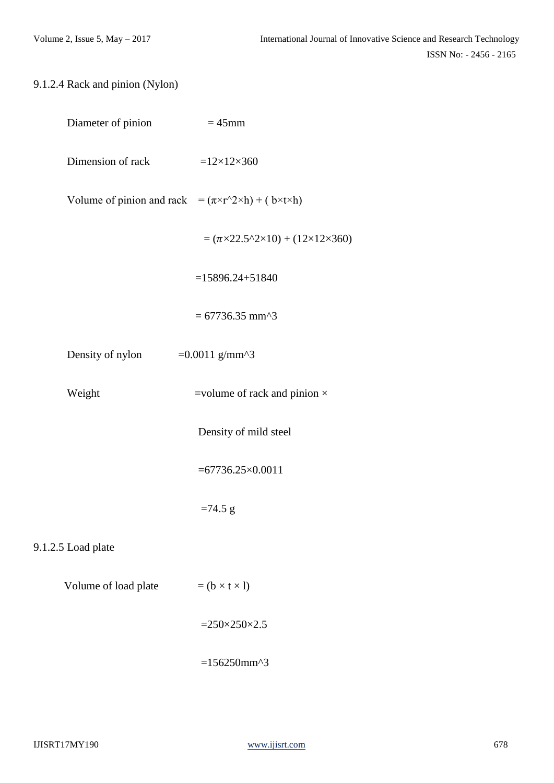### 9.1.2.4 Rack and pinion (Nylon)

| Diameter of pinion                                                              | $=45$ mm                                                             |
|---------------------------------------------------------------------------------|----------------------------------------------------------------------|
| Dimension of rack                                                               | $=12\times12\times360$                                               |
| Volume of pinion and rack = $(\pi \times r^2 \times h) + (b \times t \times h)$ |                                                                      |
|                                                                                 | $= (\pi \times 22.5^{\circ}2 \times 10) + (12 \times 12 \times 360)$ |
|                                                                                 | $=15896.24 + 51840$                                                  |
|                                                                                 | $= 67736.35$ mm^3                                                    |
| Density of nylon                                                                | $=0.0011$ g/mm^3                                                     |
| Weight                                                                          | =volume of rack and pinion $\times$                                  |
|                                                                                 | Density of mild steel                                                |
|                                                                                 | $=67736.25\times0.0011$                                              |
|                                                                                 | $=74.5$ g                                                            |
| 9.1.2.5 Load plate                                                              |                                                                      |
| Volume of load plate                                                            | $= (b \times t \times 1)$                                            |
|                                                                                 | $=250\times250\times2.5$                                             |
|                                                                                 | $=156250$ mm^3                                                       |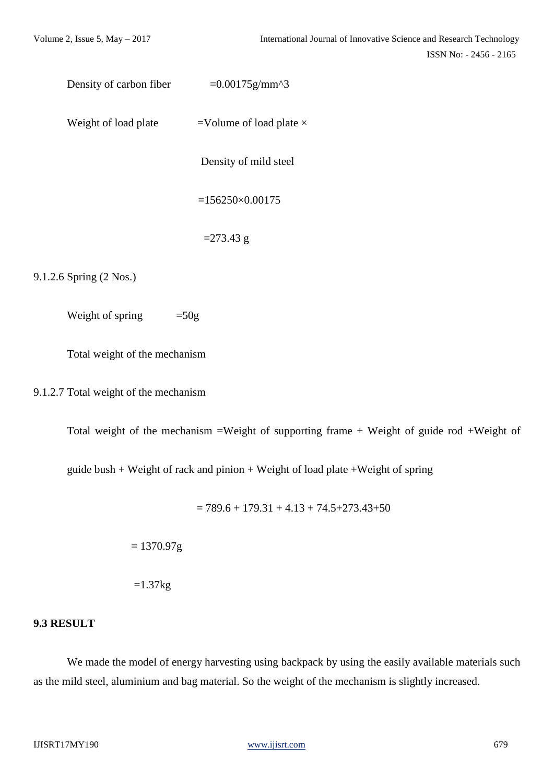```
Density of carbon fiber =0.00175g/\text{mm}^2
```
Weight of load plate  $=$ Volume of load plate  $\times$ 

Density of mild steel

 $=156250\times0.00175$ 

 $= 273.43$  g

9.1.2.6 Spring (2 Nos.)

Weight of spring  $=50g$ 

Total weight of the mechanism

9.1.2.7 Total weight of the mechanism

Total weight of the mechanism =Weight of supporting frame + Weight of guide rod +Weight of

guide bush + Weight of rack and pinion + Weight of load plate +Weight of spring

 $= 789.6 + 179.31 + 4.13 + 74.5 + 273.43 + 50$ 

 $= 1370.97g$ 

 $=1.37$ kg

#### **9.3 RESULT**

We made the model of energy harvesting using backpack by using the easily available materials such as the mild steel, aluminium and bag material. So the weight of the mechanism is slightly increased.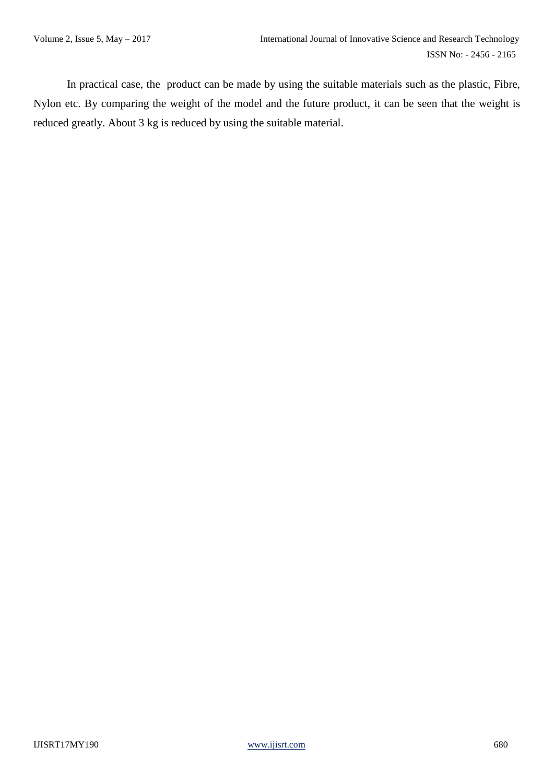In practical case, the product can be made by using the suitable materials such as the plastic, Fibre, Nylon etc. By comparing the weight of the model and the future product, it can be seen that the weight is reduced greatly. About 3 kg is reduced by using the suitable material.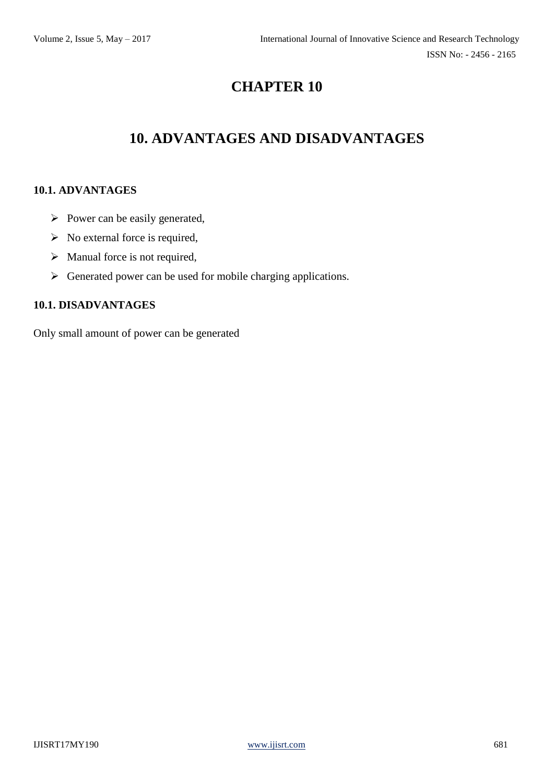# **10. ADVANTAGES AND DISADVANTAGES**

#### **10.1. ADVANTAGES**

- $\triangleright$  Power can be easily generated,
- $\triangleright$  No external force is required,
- $\triangleright$  Manual force is not required,
- $\triangleright$  Generated power can be used for mobile charging applications.

#### **10.1. DISADVANTAGES**

Only small amount of power can be generated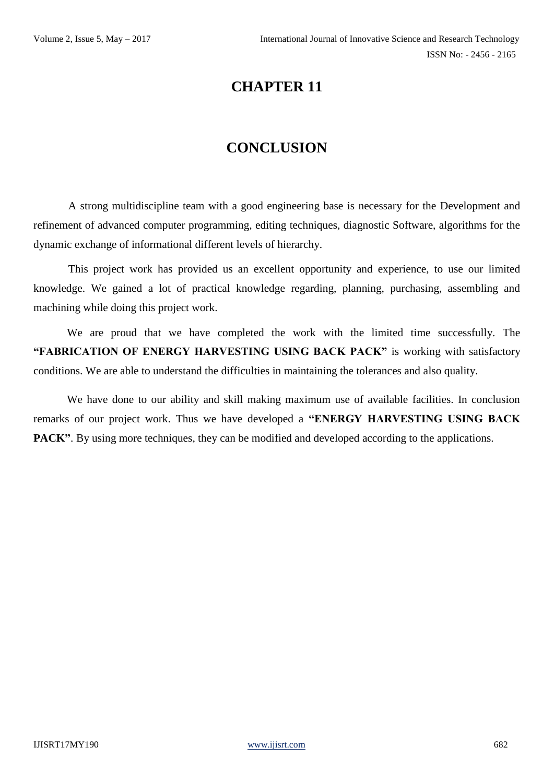# **CONCLUSION**

A strong multidiscipline team with a good engineering base is necessary for the Development and refinement of advanced computer programming, editing techniques, diagnostic Software, algorithms for the dynamic exchange of informational different levels of hierarchy.

This project work has provided us an excellent opportunity and experience, to use our limited knowledge. We gained a lot of practical knowledge regarding, planning, purchasing, assembling and machining while doing this project work.

We are proud that we have completed the work with the limited time successfully. The **"FABRICATION OF ENERGY HARVESTING USING BACK PACK"** is working with satisfactory conditions. We are able to understand the difficulties in maintaining the tolerances and also quality.

We have done to our ability and skill making maximum use of available facilities. In conclusion remarks of our project work. Thus we have developed a **"ENERGY HARVESTING USING BACK PACK"**. By using more techniques, they can be modified and developed according to the applications.